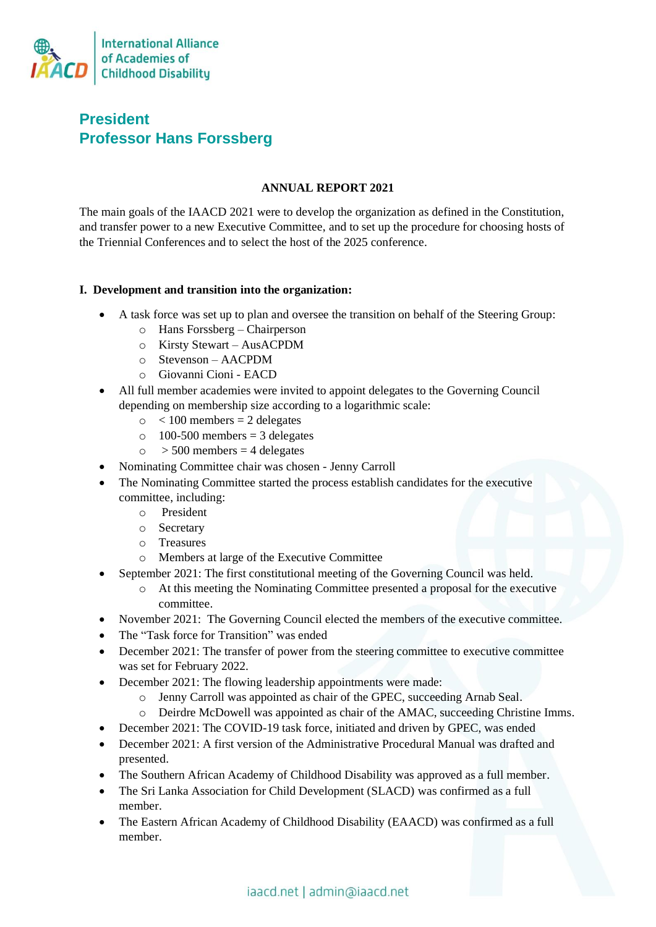

# **President Professor Hans Forssberg**

# **ANNUAL REPORT 2021**

The main goals of the IAACD 2021 were to develop the organization as defined in the Constitution, and transfer power to a new Executive Committee, and to set up the procedure for choosing hosts of the Triennial Conferences and to select the host of the 2025 conference.

### **I. Development and transition into the organization:**

- A task force was set up to plan and oversee the transition on behalf of the Steering Group:
	- o Hans Forssberg Chairperson
	- o Kirsty Stewart AusACPDM
	- o Stevenson AACPDM
	- o Giovanni Cioni EACD
- All full member academies were invited to appoint delegates to the Governing Council depending on membership size according to a logarithmic scale:
	- $\circ$  < 100 members = 2 delegates
	- $\circ$  100-500 members = 3 delegates
	- $\circ$  > 500 members = 4 delegates
- Nominating Committee chair was chosen Jenny Carroll
- The Nominating Committee started the process establish candidates for the executive committee, including:
	- o President
	- o Secretary
	- o Treasures
	- o Members at large of the Executive Committee
- September 2021: The first constitutional meeting of the Governing Council was held.
	- o At this meeting the Nominating Committee presented a proposal for the executive committee.
- November 2021: The Governing Council elected the members of the executive committee.
- The "Task force for Transition" was ended
- December 2021: The transfer of power from the steering committee to executive committee was set for February 2022.
- December 2021: The flowing leadership appointments were made:
	- o Jenny Carroll was appointed as chair of the GPEC, succeeding Arnab Seal.
	- o Deirdre McDowell was appointed as chair of the AMAC, succeeding Christine Imms.
- December 2021: The COVID-19 task force, initiated and driven by GPEC, was ended
- December 2021: A first version of the Administrative Procedural Manual was drafted and presented.
- The Southern African Academy of Childhood Disability was approved as a full member.
- The Sri Lanka Association for Child Development (SLACD) was confirmed as a full member.
- The Eastern African Academy of Childhood Disability (EAACD) was confirmed as a full member.